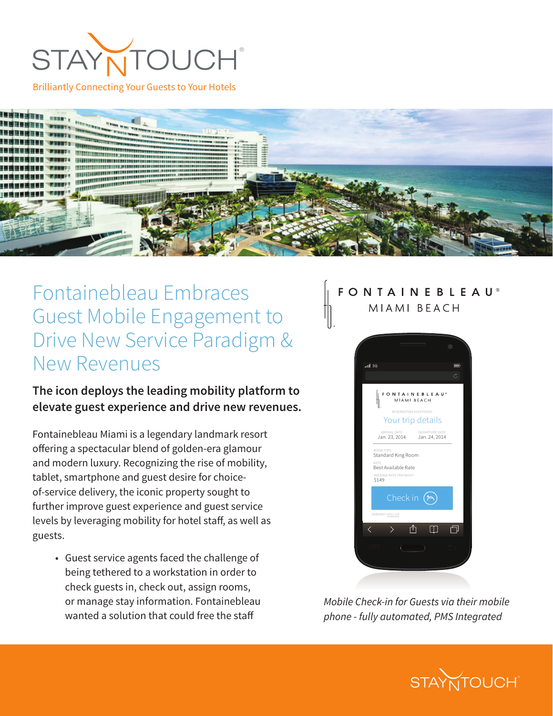

Brilliantly Connecting Your Guests to Your Hotels



## Fontainebleau Embraces Guest Mobile Engagement to Drive New Service Paradigm & New Revenues

**The icon deploys the leading mobility platform to elevate guest experience and drive new revenues.** 

Fontainebleau Miami is a legendary landmark resort offering a spectacular blend of golden-era glamour and modern luxury. Recognizing the rise of mobility, tablet, smartphone and guest desire for choiceof-service delivery, the iconic property sought to further improve guest experience and guest service levels by leveraging mobility for hotel staff, as well as guests.

• Guest service agents faced the challenge of being tethered to a workstation in order to check guests in, check out, assign rooms, or manage stay information. Fontainebleau wanted a solution that could free the staff

#### **FONTAINEBLEAU®** MIAMI BEACH



*Mobile Check-in for Guests via their mobile phone - fully automated, PMS Integrated*

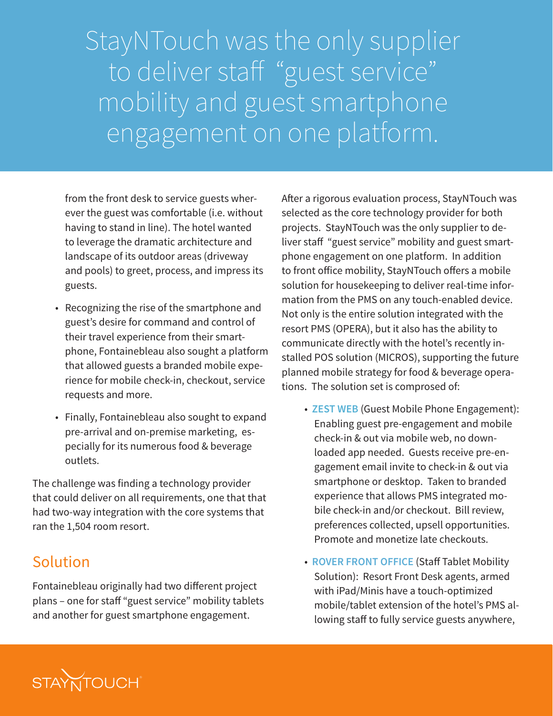StayNTouch was the only supplier to deliver staff "guest service" mobility and guest smartphone engagement on one platform.

from the front desk to service guests wherever the guest was comfortable (i.e. without having to stand in line). The hotel wanted to leverage the dramatic architecture and landscape of its outdoor areas (driveway and pools) to greet, process, and impress its guests.

- Recognizing the rise of the smartphone and guest's desire for command and control of their travel experience from their smartphone, Fontainebleau also sought a platform that allowed guests a branded mobile experience for mobile check-in, checkout, service requests and more.
- Finally, Fontainebleau also sought to expand pre-arrival and on-premise marketing, especially for its numerous food & beverage outlets.

The challenge was finding a technology provider that could deliver on all requirements, one that that had two-way integration with the core systems that ran the 1,504 room resort.

### Solution

Fontainebleau originally had two different project plans – one for staff "guest service" mobility tablets and another for guest smartphone engagement.

After a rigorous evaluation process, StayNTouch was selected as the core technology provider for both projects. StayNTouch was the only supplier to deliver staff "guest service" mobility and guest smartphone engagement on one platform. In addition to front office mobility, StayNTouch offers a mobile solution for housekeeping to deliver real-time information from the PMS on any touch-enabled device. Not only is the entire solution integrated with the resort PMS (OPERA), but it also has the ability to communicate directly with the hotel's recently installed POS solution (MICROS), supporting the future planned mobile strategy for food & beverage operations. The solution set is comprosed of:

- **ZEST WEB** (Guest Mobile Phone Engagement): Enabling guest pre-engagement and mobile check-in & out via mobile web, no downloaded app needed. Guests receive pre-engagement email invite to check-in & out via smartphone or desktop. Taken to branded experience that allows PMS integrated mobile check-in and/or checkout. Bill review, preferences collected, upsell opportunities. Promote and monetize late checkouts.
- **ROVER FRONT OFFICE** (Staff Tablet Mobility Solution): Resort Front Desk agents, armed with iPad/Minis have a touch-optimized mobile/tablet extension of the hotel's PMS allowing staff to fully service guests anywhere,

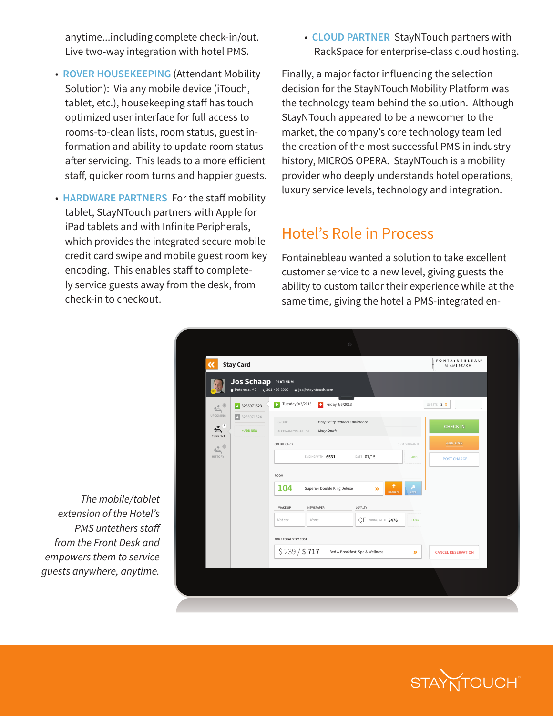anytime...including complete check-in/out. Live two-way integration with hotel PMS.

- **ROVER HOUSEKEEPING** (Attendant Mobility Solution): Via any mobile device (iTouch, tablet, etc.), housekeeping staff has touch optimized user interface for full access to rooms-to-clean lists, room status, guest information and ability to update room status after servicing. This leads to a more efficient staff, quicker room turns and happier guests.
- **HARDWARE PARTNERS** For the staff mobility tablet, StayNTouch partners with Apple for iPad tablets and with Infinite Peripherals, which provides the integrated secure mobile credit card swipe and mobile guest room key encoding. This enables staff to completely service guests away from the desk, from check-in to checkout.

#### Hotel's Role in Process

| vith hotel PMS.                                                                                                                                                                                                            | • CLOUD PARTNER StayNTouch partners with<br>RackSpace for enterprise-class cloud hosting.                                                                                                                                                                                                                                                                                                                                                                                         |  |
|----------------------------------------------------------------------------------------------------------------------------------------------------------------------------------------------------------------------------|-----------------------------------------------------------------------------------------------------------------------------------------------------------------------------------------------------------------------------------------------------------------------------------------------------------------------------------------------------------------------------------------------------------------------------------------------------------------------------------|--|
| ttendant Mobility.<br>device (iTouch,<br><b>z</b> staff has touch<br>or full access to<br>status, guest in-<br>pdate room status<br>to a more efficient<br>nd happier guests.<br>r the staff mobility<br>rs with Apple for | Finally, a major factor influencing the selection<br>decision for the StayNTouch Mobility Platform was<br>the technology team behind the solution. Although<br>StayNTouch appeared to be a newcomer to the<br>market, the company's core technology team led<br>the creation of the most successful PMS in industry<br>history, MICROS OPERA. StayNTouch is a mobility<br>provider who deeply understands hotel operations,<br>luxury service levels, technology and integration. |  |
| ite Peripherals,<br>ated secure mobile                                                                                                                                                                                     | <b>Hotel's Role in Process</b>                                                                                                                                                                                                                                                                                                                                                                                                                                                    |  |
| pile guest room key<br>aff to complete-<br>n the desk, from                                                                                                                                                                | Fontainebleau wanted a solution to take excellent<br>customer service to a new level, giving guests the<br>ability to custom tailor their experience while at the<br>same time, giving the hotel a PMS-integrated en-                                                                                                                                                                                                                                                             |  |
|                                                                                                                                                                                                                            |                                                                                                                                                                                                                                                                                                                                                                                                                                                                                   |  |
| <b>Stay Card</b>                                                                                                                                                                                                           | FONTAINEBLEAU <sup>®</sup><br>MIAMI BEACH                                                                                                                                                                                                                                                                                                                                                                                                                                         |  |
| <b>Jos Schaap</b> PLATINUM<br>O Potomac, MD & 301-456-3000                                                                                                                                                                 | ⊠ jos@stayntouch.com                                                                                                                                                                                                                                                                                                                                                                                                                                                              |  |
|                                                                                                                                                                                                                            |                                                                                                                                                                                                                                                                                                                                                                                                                                                                                   |  |
| $\frac{1}{2}$ 3265971523<br>$A^*$                                                                                                                                                                                          | 1 Tuesday 9/3/2013<br>1 Friday 9/6/2013<br>GUESTS 2 %                                                                                                                                                                                                                                                                                                                                                                                                                             |  |
| UPCOMING<br>$\frac{1}{2}$ 3265971524<br>$\sum_{i=1}^{n}$<br>+ ADD NEW<br><b>CURRENT</b>                                                                                                                                    | GROUP<br><b>Hospitality Leaders Conference</b><br><b>CHECK IN</b><br>ACCOMANPYING GUEST<br>Mary Smith                                                                                                                                                                                                                                                                                                                                                                             |  |
| $A^*$<br>HISTORY                                                                                                                                                                                                           | <b>ADD-ONS</b><br><b>CREDIT CARD</b><br>6 PM GUARANTEE<br>ENDING WITH 6531<br>DATE 07/15<br>$+$ ADD<br><b>POST CHARGE</b>                                                                                                                                                                                                                                                                                                                                                         |  |
|                                                                                                                                                                                                                            | ROOM<br>104<br><b>Superior Double King Deluxe</b><br>≫<br><b>WAKE UP</b><br>LOYALTY<br>NEWSPAPER<br>Not set<br>None<br>OF ENDING WITH 5476<br>$+$ ADD<br><b>ADR / TOTAL STAY COST</b>                                                                                                                                                                                                                                                                                             |  |
|                                                                                                                                                                                                                            | \$239/\$717<br>Bed & Breakfast; Spa & Wellness<br>$\mathcal{D}$<br><b>CANCEL RESERVATION</b>                                                                                                                                                                                                                                                                                                                                                                                      |  |
|                                                                                                                                                                                                                            |                                                                                                                                                                                                                                                                                                                                                                                                                                                                                   |  |

*The mobile/tablet extension of the Hotel's PMS untethers staff from the Front Desk and empowers them to service guests anywhere, anytime.*

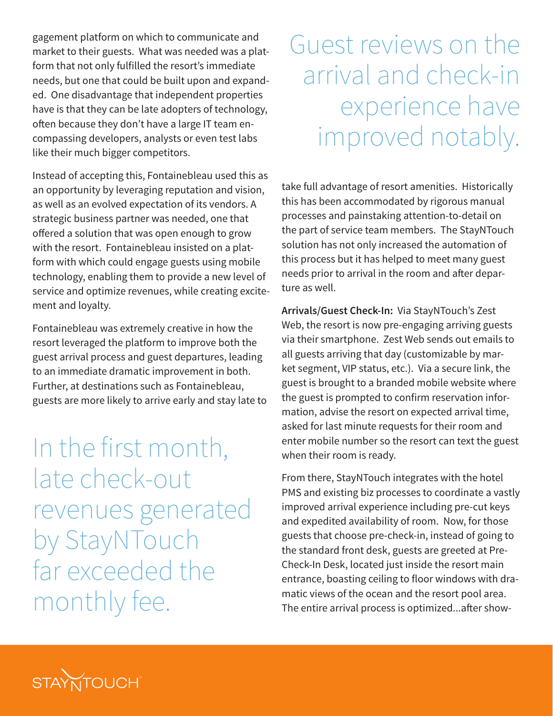gagement platform on which to communicate and market to their guests. What was needed was a platform that not only fulfilled the resort's immediate needs, but one that could be built upon and expanded. One disadvantage that independent properties have is that they can be late adopters of technology, often because they don't have a large IT team encompassing developers, analysts or even test labs like their much bigger competitors.

Instead of accepting this, Fontainebleau used this as an opportunity by leveraging reputation and vision, as well as an evolved expectation of its vendors. A strategic business partner was needed, one that offered a solution that was open enough to grow with the resort. Fontainebleau insisted on a platform with which could engage guests using mobile technology, enabling them to provide a new level of service and optimize revenues, while creating excitement and loyalty.

Fontainebleau was extremely creative in how the resort leveraged the platform to improve both the guest arrival process and guest departures, leading to an immediate dramatic improvement in both. Further, at destinations such as Fontainebleau, guests are more likely to arrive early and stay late to

In the first month, late check-out revenues generated by StayNTouch far exceeded the monthly fee.

# Guest reviews on the arrival and check-in experience have improved notably.

take full advantage of resort amenities. Historically this has been accommodated by rigorous manual processes and painstaking attention-to-detail on the part of service team members. The StayNTouch solution has not only increased the automation of this process but it has helped to meet many guest needs prior to arrival in the room and after departure as well.

**Arrivals/Guest Check-In:** Via StayNTouch's Zest Web, the resort is now pre-engaging arriving guests via their smartphone. Zest Web sends out emails to all guests arriving that day (customizable by market segment, VIP status, etc.). Via a secure link, the guest is brought to a branded mobile website where the guest is prompted to confirm reservation information, advise the resort on expected arrival time, asked for last minute requests for their room and enter mobile number so the resort can text the guest when their room is ready.

From there, StayNTouch integrates with the hotel PMS and existing biz processes to coordinate a vastly improved arrival experience including pre-cut keys and expedited availability of room. Now, for those guests that choose pre-check-in, instead of going to the standard front desk, guests are greeted at Pre-Check-In Desk, located just inside the resort main entrance, boasting ceiling to floor windows with dramatic views of the ocean and the resort pool area. The entire arrival process is optimized...after show-

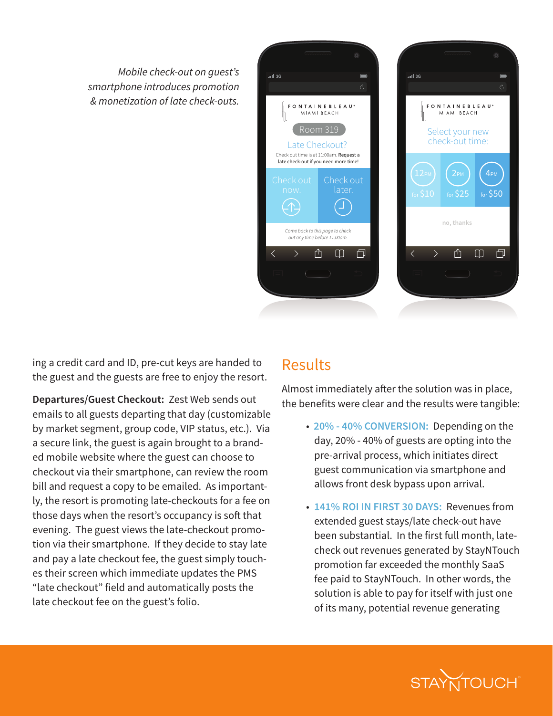*Mobile check-out on guest's smartphone introduces promotion & monetization of late check-outs.*



ing a credit card and ID, pre-cut keys are handed to the guest and the guests are free to enjoy the resort.

**Departures/Guest Checkout:** Zest Web sends out emails to all guests departing that day (customizable by market segment, group code, VIP status, etc.). Via a secure link, the guest is again brought to a branded mobile website where the guest can choose to checkout via their smartphone, can review the room bill and request a copy to be emailed. As importantly, the resort is promoting late-checkouts for a fee on those days when the resort's occupancy is soft that evening. The guest views the late-checkout promotion via their smartphone. If they decide to stay late and pay a late checkout fee, the guest simply touches their screen which immediate updates the PMS "late checkout" field and automatically posts the late checkout fee on the guest's folio.

#### Results

Almost immediately after the solution was in place, the benefits were clear and the results were tangible:

- **20% 40% CONVERSION:** Depending on the day, 20% - 40% of guests are opting into the pre-arrival process, which initiates direct guest communication via smartphone and allows front desk bypass upon arrival.
- **141% ROI IN FIRST 30 DAYS:** Revenues from extended guest stays/late check-out have been substantial. In the first full month, latecheck out revenues generated by StayNTouch promotion far exceeded the monthly SaaS fee paid to StayNTouch. In other words, the solution is able to pay for itself with just one of its many, potential revenue generating